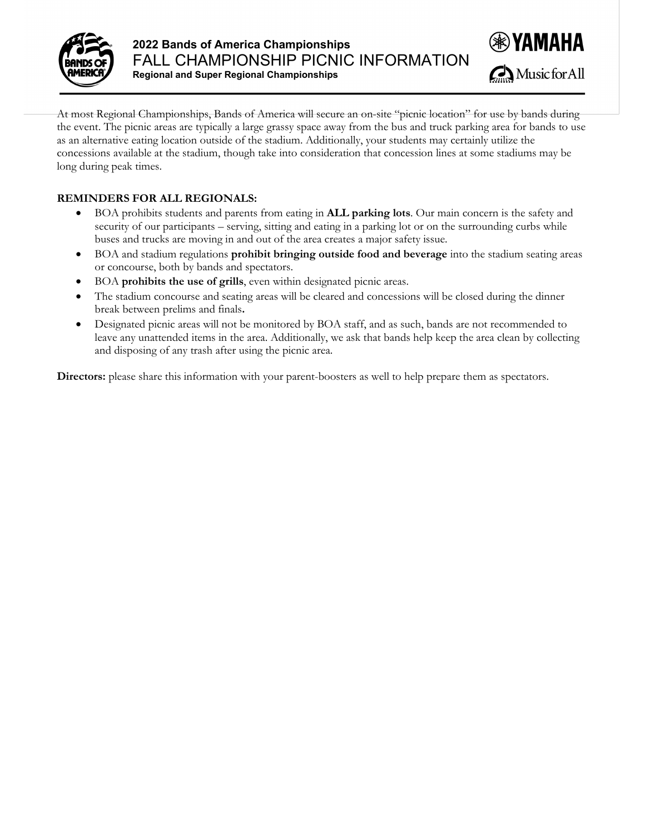



At most Regional Championships, Bands of America will secure an on-site "picnic location" for use by bands during the event. The picnic areas are typically a large grassy space away from the bus and truck parking area for bands to use as an alternative eating location outside of the stadium. Additionally, your students may certainly utilize the concessions available at the stadium, though take into consideration that concession lines at some stadiums may be long during peak times.

## **REMINDERS FOR ALL REGIONALS:**

- BOA prohibits students and parents from eating in **ALL parking lots**. Our main concern is the safety and security of our participants – serving, sitting and eating in a parking lot or on the surrounding curbs while buses and trucks are moving in and out of the area creates a major safety issue.
- BOA and stadium regulations **prohibit bringing outside food and beverage** into the stadium seating areas or concourse, both by bands and spectators.
- BOA **prohibits the use of grills**, even within designated picnic areas.
- The stadium concourse and seating areas will be cleared and concessions will be closed during the dinner break between prelims and finals**.**
- Designated picnic areas will not be monitored by BOA staff, and as such, bands are not recommended to leave any unattended items in the area. Additionally, we ask that bands help keep the area clean by collecting and disposing of any trash after using the picnic area.

**Directors:** please share this information with your parent-boosters as well to help prepare them as spectators.